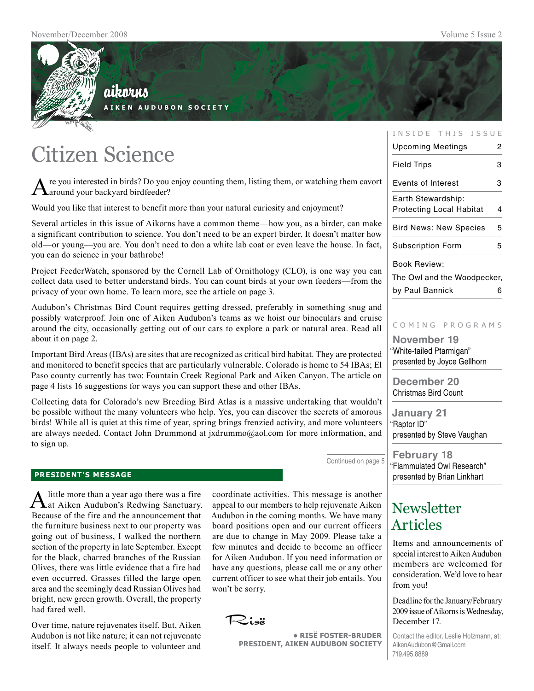

## aikorus

**A i k e n A u d u b o n S o c i e t y**

# Citizen Science

Are you interested in birds? Do you enjoy counting them, listing them, or watching them cavort  $\Lambda$ around your backyard birdfeeder?

Would you like that interest to benefit more than your natural curiosity and enjoyment?

Several articles in this issue of Aikorns have a common theme—how you, as a birder, can make a significant contribution to science. You don't need to be an expert birder. It doesn't matter how old—or young—you are. You don't need to don a white lab coat or even leave the house. In fact, you can do science in your bathrobe!

Project FeederWatch, sponsored by the Cornell Lab of Ornithology (CLO), is one way you can collect data used to better understand birds. You can count birds at your own feeders—from the privacy of your own home. To learn more, see the article on page 3.

Audubon's Christmas Bird Count requires getting dressed, preferably in something snug and possibly waterproof. Join one of Aiken Audubon's teams as we hoist our binoculars and cruise around the city, occasionally getting out of our cars to explore a park or natural area. Read all about it on page 2.

Important Bird Areas (IBAs) are sites that are recognized as critical bird habitat. They are protected and monitored to benefit species that are particularly vulnerable. Colorado is home to 54 IBAs; El Paso county currently has two: Fountain Creek Regional Park and Aiken Canyon. The article on page 4 lists 16 suggestions for ways you can support these and other IBAs.

Collecting data for Colorado's new Breeding Bird Atlas is a massive undertaking that wouldn't be possible without the many volunteers who help. Yes, you can discover the secrets of amorous birds! While all is quiet at this time of year, spring brings frenzied activity, and more volunteers are always needed. Contact John Drummond at jxdrummo@aol.com for more information, and to sign up.

Continued on page 5

#### **president's message**

A little more than a year ago there was a fire<br>at Aiken Audubon's Redwing Sanctuary. Because of the fire and the announcement that the furniture business next to our property was going out of business, I walked the northern section of the property in late September. Except for the black, charred branches of the Russian Olives, there was little evidence that a fire had even occurred. Grasses filled the large open area and the seemingly dead Russian Olives had bright, new green growth. Overall, the property had fared well.

Over time, nature rejuvenates itself. But, Aiken Audubon is not like nature; it can not rejuvenate itself. It always needs people to volunteer and

coordinate activities. This message is another appeal to our members to help rejuvenate Aiken Audubon in the coming months. We have many board positions open and our current officers are due to change in May 2009. Please take a few minutes and decide to become an officer for Aiken Audubon. If you need information or have any questions, please call me or any other current officer to see what their job entails. You won't be sorry.

Risë

**• RisË Foster-Bruder President, Aiken Audubon Society**

#### INSIDE THIS ISSUE

| Upcoming Meetings               | 2 |  |
|---------------------------------|---|--|
| <b>Field Trips</b>              | 3 |  |
| Events of Interest              | 3 |  |
| Earth Stewardship:              |   |  |
| <b>Protecting Local Habitat</b> | 4 |  |
| Bird News: New Species          | 5 |  |
| <b>Subscription Form</b>        | 5 |  |
| <b>Book Review:</b>             |   |  |
| The Owl and the Woodpecker,     |   |  |
| by Paul Bannick                 |   |  |

#### c o m i n g p r o g r a m s

**November 19** "White-tailed Ptarmigan" presented by Joyce Gellhorn

**December 20** Christmas Bird Count

**January 21** "Raptor ID" presented by Steve Vaughan

**February 18**  "Flammulated Owl Research" presented by Brian Linkhart

### **Newsletter** Articles

Items and announcements of special interest to Aiken Audubon members are welcomed for consideration. We'd love to hear from you!

Deadline for the January/February 2009 issue of Aikorns is Wednesday, December 17.

Contact the editor, Leslie Holzmann, at: AikenAudubon@Gmail.com 719.495.8889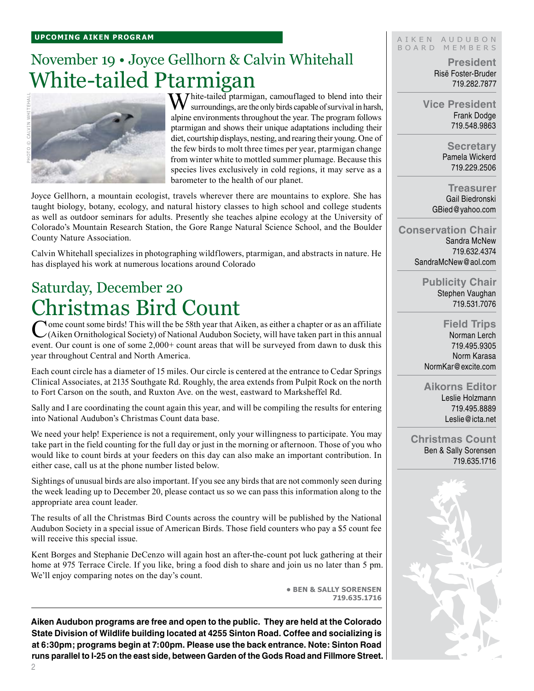# November 19 • Joyce Gellhorn & Calvin Whitehall White-tailed Ptarmigan



White-tailed ptarmigan, camouflaged to blend into their surroundings, are the only birds capable of survival in harsh, alpine environments throughout the year. The program follows ptarmigan and shows their unique adaptations including their diet, courtship displays, nesting, and rearing their young. One of the few birds to molt three times per year, ptarmigan change from winter white to mottled summer plumage. Because this species lives exclusively in cold regions, it may serve as a barometer to the health of our planet.

Joyce Gellhorn, a mountain ecologist, travels wherever there are mountains to explore. She has taught biology, botany, ecology, and natural history classes to high school and college students as well as outdoor seminars for adults. Presently she teaches alpine ecology at the University of Colorado's Mountain Research Station, the Gore Range Natural Science School, and the Boulder County Nature Association.

Calvin Whitehall specializes in photographing wildflowers, ptarmigan, and abstracts in nature. He has displayed his work at numerous locations around Colorado

# Saturday, December 20 Christmas Bird Count<br>
Come count some birds! This will the be 58th year that Aiken, as either a chapter or as an affiliate

C (Aiken Ornithological Society) of National Audubon Society, will have taken part in this annual (Aiken Ornithological Society) of National Audubon Society, will have taken part in this annual event. Our count is one of some 2,000+ count areas that will be surveyed from dawn to dusk this year throughout Central and North America.

Each count circle has a diameter of 15 miles. Our circle is centered at the entrance to Cedar Springs Clinical Associates, at 2135 Southgate Rd. Roughly, the area extends from Pulpit Rock on the north to Fort Carson on the south, and Ruxton Ave. on the west, eastward to Marksheffel Rd.

Sally and I are coordinating the count again this year, and will be compiling the results for entering into National Audubon's Christmas Count data base.

We need your help! Experience is not a requirement, only your willingness to participate. You may take part in the field counting for the full day or just in the morning or afternoon. Those of you who would like to count birds at your feeders on this day can also make an important contribution. In either case, call us at the phone number listed below.

Sightings of unusual birds are also important. If you see any birds that are not commonly seen during the week leading up to December 20, please contact us so we can pass this information along to the appropriate area count leader.

The results of all the Christmas Bird Counts across the country will be published by the National Audubon Society in a special issue of American Birds. Those field counters who pay a \$5 count fee will receive this special issue.

Kent Borges and Stephanie DeCenzo will again host an after-the-count pot luck gathering at their home at 975 Terrace Circle. If you like, bring a food dish to share and join us no later than 5 pm. We'll enjoy comparing notes on the day's count.

> **• ben & sally sorensen 719.635.1716**

**Aiken Audubon programs are free and open to the public. They are held at the Colorado State Division of Wildlife building located at 4255 Sinton Road. Coffee and socializing is at 6:30pm; programs begin at 7:00pm. Please use the back entrance. Note: Sinton Road runs parallel to I-25 on the east side, between Garden of the Gods Road and Fillmore Street.**

#### AIKEN AUDUBON B o a r d M e m b e r s

**President** Risë Foster-Bruder 719.282.7877

**Vice President** Frank Dodge 719.548.9863

> **Secretary** Pamela Wickerd 719.229.2506

**Treasurer** Gail Biedronski GBied@yahoo.com

**Conservation Chair** Sandra McNew 719.632.4374 SandraMcNew@aol.com

> **Publicity Chair** Stephen Vaughan 719.531.7076

**Field Trips** Norman Lerch 719.495.9305 Norm Karasa NormKar@excite.com

**Aikorns Editor** Leslie Holzmann 719.495.8889 Leslie@icta.net

**Christmas Count** Ben & Sally Sorensen 719.635.1716

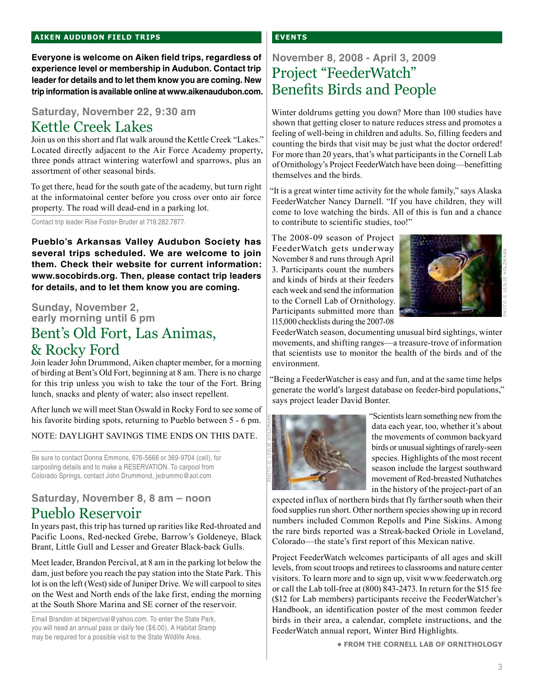**Everyone is welcome on Aiken field trips, regardless of experience level or membership in Audubon. Contact trip leader for details and to let them know you are coming. New trip information is available online at www.aikenaudubon.com.**

### **Saturday, November 22, 9:30 am**  Kettle Creek Lakes

Join us on this short and flat walk around the Kettle Creek "Lakes." Located directly adjacent to the Air Force Academy property, three ponds attract wintering waterfowl and sparrows, plus an assortment of other seasonal birds.

To get there, head for the south gate of the academy, but turn right at the informatoinal center before you cross over onto air force property. The road will dead-end in a parking lot.

Contact trip leader Rise Foster-Bruder at 719.282.7877.

**Pueblo's Arkansas Valley Audubon Society has several trips scheduled. We are welcome to join them. Check their website for current information: www.socobirds.org. Then, please contact trip leaders for details, and to let them know you are coming.** 

#### **Sunday, November 2, early morning until 6 pm**

### Bent's Old Fort, Las Animas, & Rocky Ford

Join leader John Drummond, Aiken chapter member, for a morning of birding at Bent's Old Fort, beginning at 8 am. There is no charge for this trip unless you wish to take the tour of the Fort. Bring lunch, snacks and plenty of water; also insect repellent.

After lunch we will meet Stan Oswald in Rocky Ford to see some of his favorite birding spots, returning to Pueblo between 5 - 6 pm.

NOTE: DAYLIGHT SAVINGS TIME ENDS ON THIS DATE.

Be sure to contact Donna Emmons, 676-5666 or 369-9704 (cell), for carpooling details and to make a RESERVATION. To carpool from Colorado Springs, contact John Drummond, jxdrummo@aol.com

#### **Saturday, November 8, 8 am – noon** Pueblo Reservoir

In years past, this trip has turned up rarities like Red-throated and Pacific Loons, Red-necked Grebe, Barrow's Goldeneye, Black Brant, Little Gull and Lesser and Greater Black-back Gulls.

Meet leader, Brandon Percival, at 8 am in the parking lot below the dam, just before you reach the pay station into the State Park. This lot is on the left (West) side of Juniper Drive. We will carpool to sites on the West and North ends of the lake first, ending the morning at the South Shore Marina and SE corner of the reservoir.

Email Brandon at bkpercival@yahoo.com. To enter the State Park, you will need an annual pass or daily fee (\$6.00). A Habitat Stamp may be required for a possible visit to the State Wildlife Area.

#### **events**

### **November 8, 2008 - April 3, 2009**  Project "FeederWatch" Benefits Birds and People

Winter doldrums getting you down? More than 100 studies have shown that getting closer to nature reduces stress and promotes a feeling of well-being in children and adults. So, filling feeders and counting the birds that visit may be just what the doctor ordered! For more than 20 years, that's what participants in the Cornell Lab of Ornithology's Project FeederWatch have been doing—benefitting themselves and the birds.

"It is a great winter time activity for the whole family," says Alaska FeederWatcher Nancy Darnell. "If you have children, they will come to love watching the birds. All of this is fun and a chance to contribute to scientific studies, too!"

The 2008-09 season of Project FeederWatch gets underway November 8 and runs through April 3. Participants count the numbers and kinds of birds at their feeders each week and send the information to the Cornell Lab of Ornithology. Participants submitted more than 115,000 checklists during the 2007-08



Photo © Leslie Holzmann

FeederWatch season, documenting unusual bird sightings, winter movements, and shifting ranges—a treasure-trove of information that scientists use to monitor the health of the birds and of the environment.

"Being a FeederWatcher is easy and fun, and at the same time helps generate the world's largest database on feeder-bird populations," says project leader David Bonter.



"Scientists learn something new from the data each year, too, whether it's about the movements of common backyard birds or unusual sightings of rarely-seen species. Highlights of the most recent season include the largest southward movement of Red-breasted Nuthatches in the history of the project-part of an

expected influx of northern birds that fly farther south when their food supplies run short. Other northern species showing up in record numbers included Common Repolls and Pine Siskins. Among the rare birds reported was a Streak-backed Oriole in Loveland, Colorado—the state's first report of this Mexican native.

Project FeederWatch welcomes participants of all ages and skill levels, from scout troops and retirees to classrooms and nature center visitors. To learn more and to sign up, visit www.feederwatch.org or call the Lab toll-free at (800) 843-2473. In return for the \$15 fee (\$12 for Lab members) participants receive the FeederWatcher's Handbook, an identification poster of the most common feeder birds in their area, a calendar, complete instructions, and the FeederWatch annual report, Winter Bird Highlights.

**• from the cornell lab of ornithology**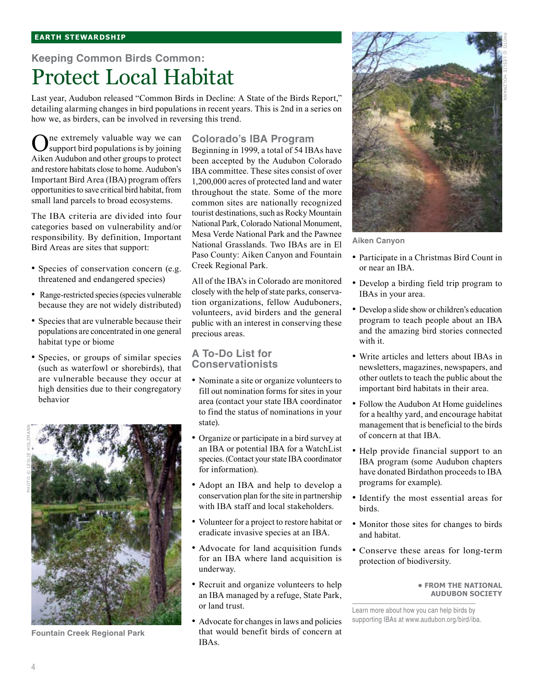## **Keeping Common Birds Common:** Protect Local Habitat

Last year, Audubon released "Common Birds in Decline: A State of the Birds Report," detailing alarming changes in bird populations in recent years. This is 2nd in a series on how we, as birders, can be involved in reversing this trend.

One extremely valuable way we can support bird populations is by joining Aiken Audubon and other groups to protect and restore habitats close to home. Audubon's Important Bird Area (IBA) program offers opportunities to save critical bird habitat, from small land parcels to broad ecosystems.

The IBA criteria are divided into four categories based on vulnerability and/or responsibility. By definition, Important Bird Areas are sites that support:

- Species of conservation concern (e.g. threatened and endangered species)
- Range-restricted species (species vulnerable because they are not widely distributed)
- Species that are vulnerable because their populations are concentrated in one general habitat type or biome
- Species, or groups of similar species (such as waterfowl or shorebirds), that are vulnerable because they occur at high densities due to their congregatory behavior



**Fountain Creek Regional Park**

#### **Colorado's IBA Program**

Beginning in 1999, a total of 54 IBAs have been accepted by the Audubon Colorado IBA committee. These sites consist of over 1,200,000 acres of protected land and water throughout the state. Some of the more common sites are nationally recognized tourist destinations, such as Rocky Mountain National Park, Colorado National Monument, Mesa Verde National Park and the Pawnee National Grasslands. Two IBAs are in El Paso County: Aiken Canyon and Fountain Creek Regional Park.

All of the IBA's in Colorado are monitored closely with the help of state parks, conservation organizations, fellow Auduboners, volunteers, avid birders and the general public with an interest in conserving these precious areas.

#### **A To-Do List for Conservationists**

- Nominate a site or organize volunteers to fill out nomination forms for sites in your area (contact your state IBA coordinator to find the status of nominations in your state).
- Organize or participate in a bird survey at an IBA or potential IBA for a WatchList species. (Contact your state IBA coordinator for information). •
- Adopt an IBA and help to develop a conservation plan for the site in partnership with IBA staff and local stakeholders.
- Volunteer for a project to restore habitat or eradicate invasive species at an IBA.
- Advocate for land acquisition funds for an IBA where land acquisition is underway.
- Recruit and organize volunteers to help an IBA managed by a refuge, State Park, or land trust.
- Advocate for changes in laws and policies that would benefit birds of concern at IBAs. •



**Aiken Canyon**

- Participate in a Christmas Bird Count in or near an IBA.
- Develop a birding field trip program to IBAs in your area.
- Develop a slide show or children's education program to teach people about an IBA and the amazing bird stories connected with it.
- Write articles and letters about IBAs in newsletters, magazines, newspapers, and other outlets to teach the public about the important bird habitats in their area.
- Follow the Audubon At Home guidelines for a healthy yard, and encourage habitat management that is beneficial to the birds of concern at that IBA.
- Help provide financial support to an IBA program (some Audubon chapters have donated Birdathon proceeds to IBA programs for example).
- Identify the most essential areas for birds.
- Monitor those sites for changes to birds and habitat.
- Conserve these areas for long-term protection of biodiversity.

#### **• from the national audubon society**

Learn more about how you can help birds by supporting IBAs at www.audubon.org/bird/iba.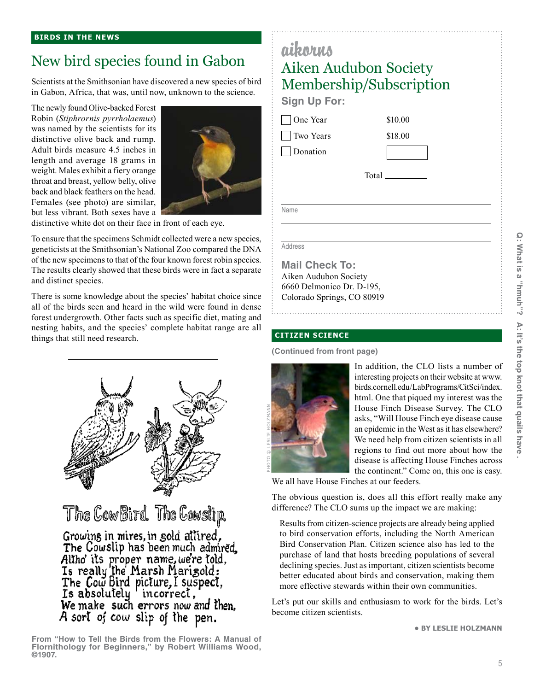## New bird species found in Gabon

Scientists at the Smithsonian have discovered a new species of bird in Gabon, Africa, that was, until now, unknown to the science.

The newly found Olive-backed Forest Robin (*Stiphrornis pyrrholaemus*) was named by the scientists for its distinctive olive back and rump. Adult birds measure 4.5 inches in length and average 18 grams in weight. Males exhibit a fiery orange throat and breast, yellow belly, olive back and black feathers on the head. Females (see photo) are similar, but less vibrant. Both sexes have a



distinctive white dot on their face in front of each eye.

To ensure that the specimens Schmidt collected were a new species, geneticists at the Smithsonian's National Zoo compared the DNA of the new specimens to that of the four known forest robin species. The results clearly showed that these birds were in fact a separate and distinct species.

There is some knowledge about the species' habitat choice since all of the birds seen and heard in the wild were found in dense forest undergrowth. Other facts such as specific diet, mating and nesting habits, and the species' complete habitat range are all things that still need research.



The CowBird. The Cowslip.

Growing in mires, in gold allired, The Cowslip has been much admired, Altho' its proper name, we're told,<br>Is really the Marsh Marigold: The Cow Bird picture, I suspect, Is absolutely 'incorrect, We make such errors now and then. A sort of cow slip of the pen.

**From "How to Tell the Birds from the Flowers: A Manual of Flornithology for Beginners," by Robert Williams Wood, ©1907.**

| aikorus                                          |         |  |
|--------------------------------------------------|---------|--|
| Aiken Audubon Society<br>Membership/Subscription |         |  |
|                                                  |         |  |
| One Year                                         | \$10.00 |  |
| <b>Two Years</b>                                 | \$18.00 |  |
| Donation                                         |         |  |
| Total ___                                        |         |  |
|                                                  |         |  |
| Name                                             |         |  |
|                                                  |         |  |
| Address                                          |         |  |
| ail Check To:                                    |         |  |

**Mail Check To:** Aiken Audubon Society 6660 Delmonico Dr. D-195, Colorado Springs, CO 80919

#### **citizen science**

**(Continued from front page)**



In addition, the CLO lists a number of interesting projects on their website at www. birds.cornell.edu/LabPrograms/CitSci/index. html. One that piqued my interest was the House Finch Disease Survey. The CLO asks, "Will House Finch eye disease cause an epidemic in the West as it has elsewhere? We need help from citizen scientists in all regions to find out more about how the disease is affecting House Finches across the continent." Come on, this one is easy.

We all have House Finches at our feeders.

The obvious question is, does all this effort really make any difference? The CLO sums up the impact we are making:

Results from citizen-science projects are already being applied to bird conservation efforts, including the North American Bird Conservation Plan. Citizen science also has led to the purchase of land that hosts breeding populations of several declining species. Just as important, citizen scientists become better educated about birds and conservation, making them more effective stewards within their own communities.

Let's put our skills and enthusiasm to work for the birds. Let's become citizen scientists.

**• by Leslie Holzmann**